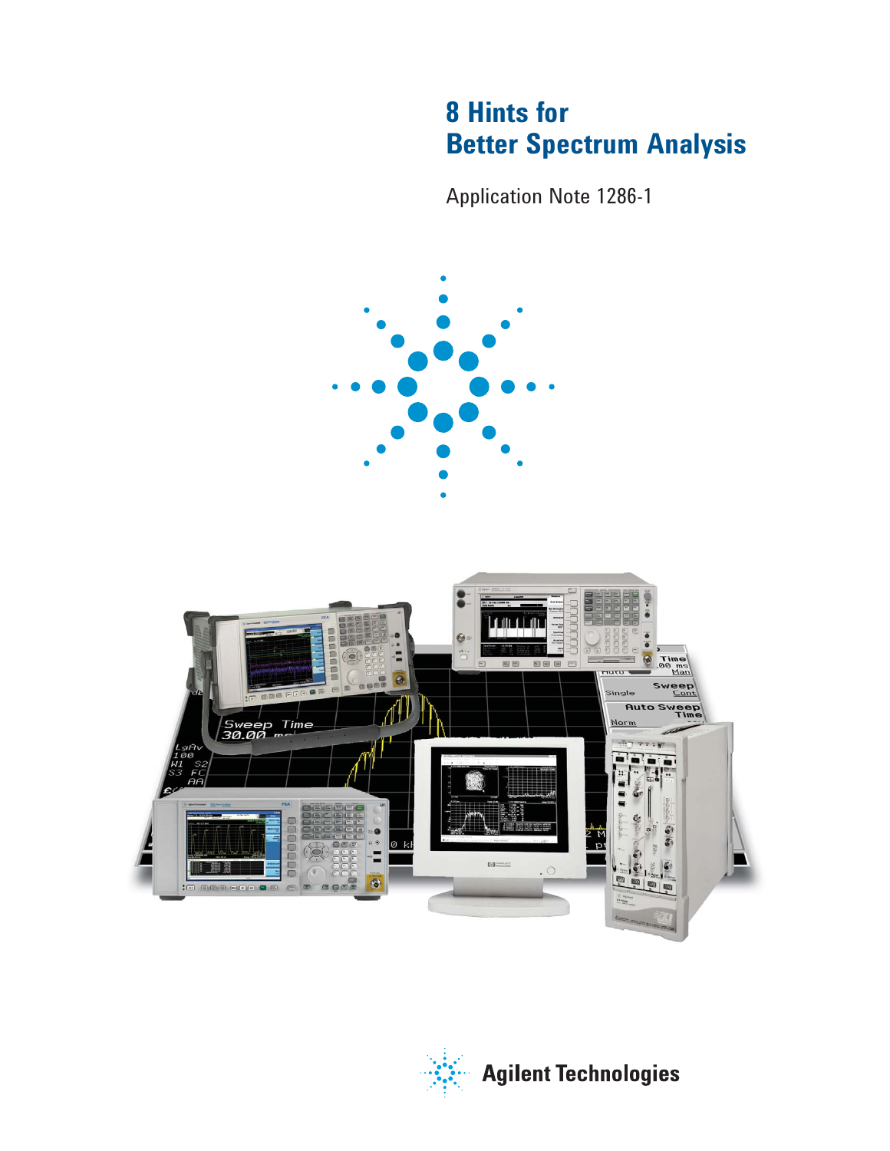# **8 Hints for Better Spectrum Analysis**

Application Note 1286-1



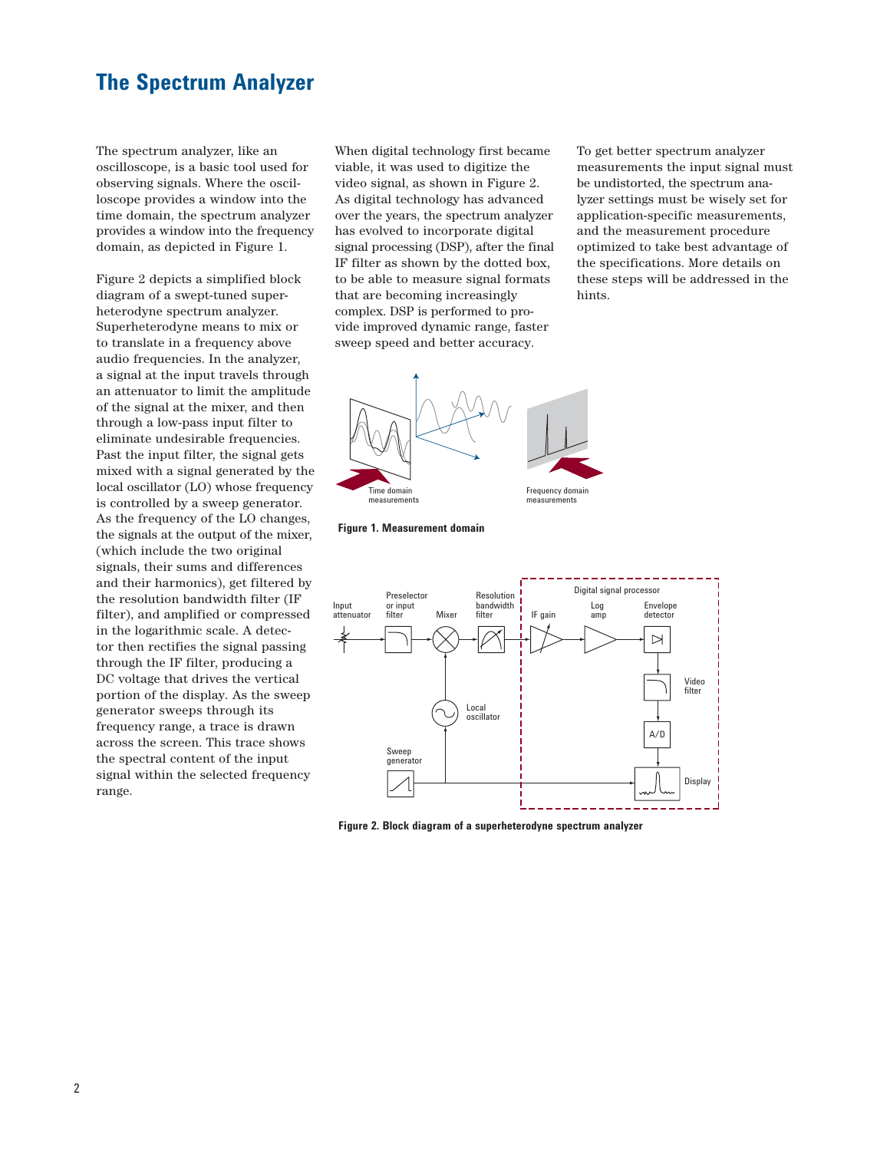#### **The Spectrum Analyzer**

The spectrum analyzer, like an oscilloscope, is a basic tool used for observing signals. Where the oscilloscope provides a window into the time domain, the spectrum analyzer provides a window into the frequency domain, as depicted in Figure 1.

Figure 2 depicts a simplified block diagram of a swept-tuned superheterodyne spectrum analyzer. Superheterodyne means to mix or to translate in a frequency above audio frequencies. In the analyzer, a signal at the input travels through an attenuator to limit the amplitude of the signal at the mixer, and then through a low-pass input filter to eliminate undesirable frequencies. Past the input filter, the signal gets mixed with a signal generated by the local oscillator (LO) whose frequency is controlled by a sweep generator. As the frequency of the LO changes, the signals at the output of the mixer, (which include the two original signals, their sums and differences and their harmonics), get filtered by the resolution bandwidth filter (IF filter), and amplified or compressed in the logarithmic scale. A detector then rectifies the signal passing through the IF filter, producing a DC voltage that drives the vertical portion of the display. As the sweep generator sweeps through its frequency range, a trace is drawn across the screen. This trace shows the spectral content of the input signal within the selected frequency range.

When digital technology first became viable, it was used to digitize the video signal, as shown in Figure 2. As digital technology has advanced over the years, the spectrum analyzer has evolved to incorporate digital signal processing (DSP), after the final IF filter as shown by the dotted box, to be able to measure signal formats that are becoming increasingly complex. DSP is performed to provide improved dynamic range, faster sweep speed and better accuracy.

To get better spectrum analyzer measurements the input signal must be undistorted, the spectrum analyzer settings must be wisely set for application-specific measurements, and the measurement procedure optimized to take best advantage of the specifications. More details on these steps will be addressed in the hints.







**Figure 2. Block diagram of a superheterodyne spectrum analyzer**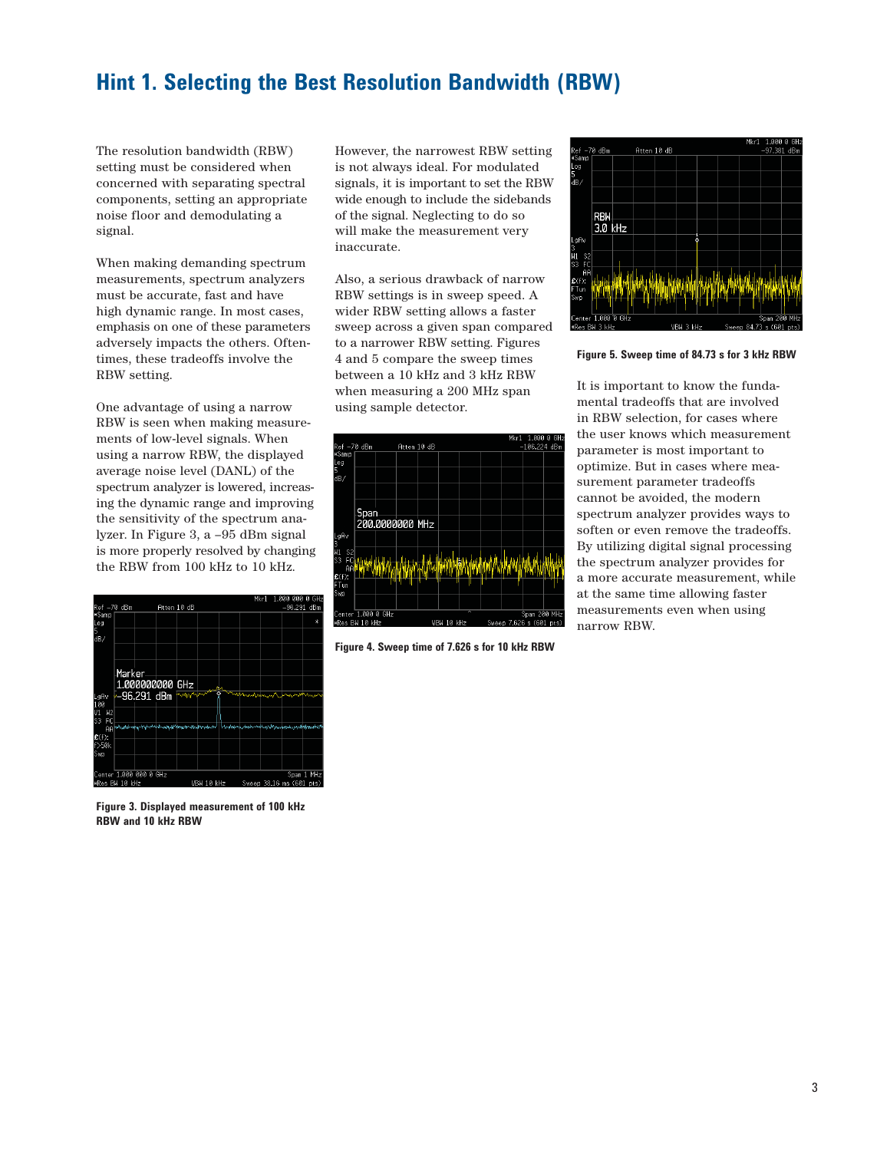### **Hint 1. Selecting the Best Resolution Bandwidth (RBW)**

The resolution bandwidth (RBW) setting must be considered when concerned with separating spectral components, setting an appropriate noise floor and demodulating a signal.

When making demanding spectrum measurements, spectrum analyzers must be accurate, fast and have high dynamic range. In most cases, emphasis on one of these parameters adversely impacts the others. Oftentimes, these tradeoffs involve the RBW setting.

One advantage of using a narrow RBW is seen when making measurements of low-level signals. When using a narrow RBW, the displayed average noise level (DANL) of the spectrum analyzer is lowered, increasing the dynamic range and improving the sensitivity of the spectrum analyzer. In Figure 3, a –95 dBm signal is more properly resolved by changing the RBW from 100 kHz to 10 kHz.

|                                                  |         |                    |                                                                              |             | Mkr1         | 1.000 000                          | ø<br>GHz   |
|--------------------------------------------------|---------|--------------------|------------------------------------------------------------------------------|-------------|--------------|------------------------------------|------------|
| Ref -70 dBm                                      |         | Atten 10 dB        |                                                                              |             |              | $-96.291$ dBm                      |            |
| #Samp<br>Log<br>5<br>dB/                         |         |                    |                                                                              |             |              |                                    | ¥          |
|                                                  | Marker. | $1.0000000000$ GHz |                                                                              |             |              |                                    |            |
| LgAv<br>100<br>H <sup>2</sup><br>V1<br>FC.<br>S3 |         |                    | ~96.291 dBm *********                                                        |             | manhousement |                                    |            |
| $f(f)$ :<br>$f$ >50 $k$<br>Swp                   |         |                    | AAMuddhimqurayindiningqaramaniyayandi.http://www.nuju.nuju.nuju.nuju.nuju.nu |             |              |                                    |            |
| Center 1.000 000 0 GHz<br>#Dax RU 10 MHz         |         |                    |                                                                              | URLI 10 LU- |              | S <sub>mean</sub> 2816 me (601 me) | Span 1 MHz |

**Figure 3. Displayed measurement of 100 kHz RBW and 10 kHz RBW**

However, the narrowest RBW setting is not always ideal. For modulated signals, it is important to set the RBW wide enough to include the sidebands of the signal. Neglecting to do so will make the measurement very inaccurate.

Also, a serious drawback of narrow RBW settings is in sweep speed. A wider RBW setting allows a faster sweep across a given span compared to a narrower RBW setting. Figures 4 and 5 compare the sweep times between a 10 kHz and 3 kHz RBW when measuring a 200 MHz span using sample detector.



**Figure 4. Sweep time of 7.626 s for 10 kHz RBW**



**Figure 5. Sweep time of 84.73 s for 3 kHz RBW**

It is important to know the fundamental tradeoffs that are involved in RBW selection, for cases where the user knows which measurement parameter is most important to optimize. But in cases where measurement parameter tradeoffs cannot be avoided, the modern spectrum analyzer provides ways to soften or even remove the tradeoffs. By utilizing digital signal processing the spectrum analyzer provides for a more accurate measurement, while at the same time allowing faster measurements even when using narrow RBW.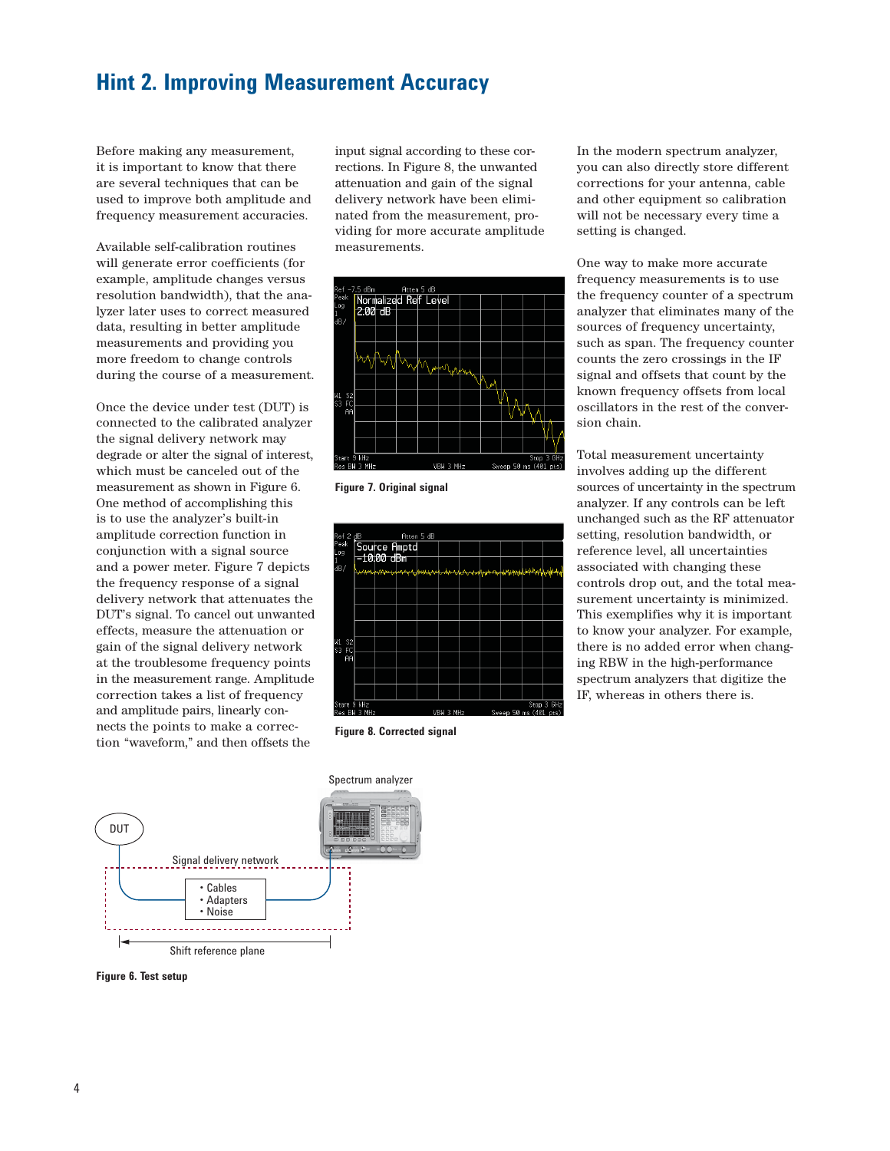#### **Hint 2. Improving Measurement Accuracy**

Before making any measurement, it is important to know that there are several techniques that can be used to improve both amplitude and frequency measurement accuracies.

Available self-calibration routines will generate error coefficients (for example, amplitude changes versus resolution bandwidth), that the analyzer later uses to correct measured data, resulting in better amplitude measurements and providing you more freedom to change controls during the course of a measurement.

Once the device under test (DUT) is connected to the calibrated analyzer the signal delivery network may degrade or alter the signal of interest, which must be canceled out of the measurement as shown in Figure 6. One method of accomplishing this is to use the analyzer's built-in amplitude correction function in conjunction with a signal source and a power meter. Figure 7 depicts the frequency response of a signal delivery network that attenuates the DUT's signal. To cancel out unwanted effects, measure the attenuation or gain of the signal delivery network at the troublesome frequency points in the measurement range. Amplitude correction takes a list of frequency and amplitude pairs, linearly connects the points to make a correction "waveform," and then offsets the

input signal according to these corrections. In Figure 8, the unwanted attenuation and gain of the signal delivery network have been eliminated from the measurement, providing for more accurate amplitude measurements.



**Figure 7. Original signal** 



**Figure 8. Corrected signal**

In the modern spectrum analyzer, you can also directly store different corrections for your antenna, cable and other equipment so calibration will not be necessary every time a setting is changed.

One way to make more accurate frequency measurements is to use the frequency counter of a spectrum analyzer that eliminates many of the sources of frequency uncertainty, such as span. The frequency counter counts the zero crossings in the IF signal and offsets that count by the known frequency offsets from local oscillators in the rest of the conversion chain.

Total measurement uncertainty involves adding up the different sources of uncertainty in the spectrum analyzer. If any controls can be left unchanged such as the RF attenuator setting, resolution bandwidth, or reference level, all uncertainties associated with changing these controls drop out, and the total measurement uncertainty is minimized. This exemplifies why it is important to know your analyzer. For example, there is no added error when changing RBW in the high-performance spectrum analyzers that digitize the IF, whereas in others there is.



**Figure 6. Test setup**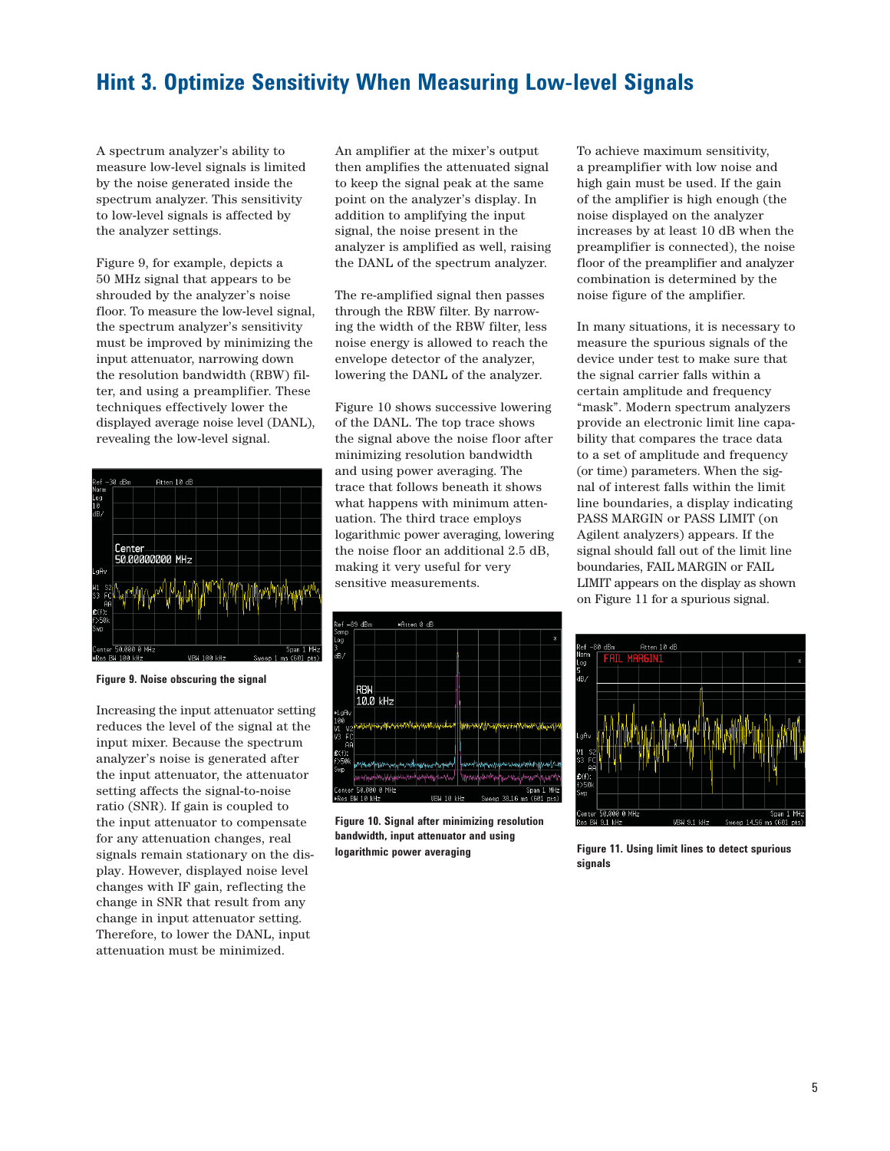### **Hint 3. Optimize Sensitivity When Measuring Low-level Signals**

A spectrum analyzer's ability to measure low-level signals is limited by the noise generated inside the spectrum analyzer. This sensitivity to low-level signals is affected by the analyzer settings.

Figure 9, for example, depicts a 50 MHz signal that appears to be shrouded by the analyzer's noise floor. To measure the low-level signal, the spectrum analyzer's sensitivity must be improved by minimizing the input attenuator, narrowing down the resolution bandwidth (RBW) filter, and using a preamplifier. These techniques effectively lower the displayed average noise level (DANL), revealing the low-level signal.



**Figure 9. Noise obscuring the signal**

Increasing the input attenuator setting reduces the level of the signal at the input mixer. Because the spectrum analyzer's noise is generated after the input attenuator, the attenuator setting affects the signal-to-noise ratio (SNR). If gain is coupled to the input attenuator to compensate for any attenuation changes, real signals remain stationary on the display. However, displayed noise level changes with IF gain, reflecting the change in SNR that result from any change in input attenuator setting. Therefore, to lower the DANL, input attenuation must be minimized.

An amplifier at the mixer's output then amplifies the attenuated signal to keep the signal peak at the same point on the analyzer's display. In addition to amplifying the input signal, the noise present in the analyzer is amplified as well, raising the DANL of the spectrum analyzer.

The re-amplified signal then passes through the RBW filter. By narrowing the width of the RBW filter, less noise energy is allowed to reach the envelope detector of the analyzer, lowering the DANL of the analyzer.

Figure 10 shows successive lowering of the DANL. The top trace shows the signal above the noise floor after minimizing resolution bandwidth and using power averaging. The trace that follows beneath it shows what happens with minimum attenuation. The third trace employs logarithmic power averaging, lowering the noise floor an additional 2.5 dB, making it very useful for very sensitive measurements.



**Figure 10. Signal after minimizing resolution bandwidth, input attenuator and using logarithmic power averaging**

To achieve maximum sensitivity, a preamplifier with low noise and high gain must be used. If the gain of the amplifier is high enough (the noise displayed on the analyzer increases by at least 10 dB when the preamplifier is connected), the noise floor of the preamplifier and analyzer combination is determined by the noise figure of the amplifier.

In many situations, it is necessary to measure the spurious signals of the device under test to make sure that the signal carrier falls within a certain amplitude and frequency "mask". Modern spectrum analyzers provide an electronic limit line capability that compares the trace data to a set of amplitude and frequency (or time) parameters. When the signal of interest falls within the limit line boundaries, a display indicating PASS MARGIN or PASS LIMIT (on Agilent analyzers) appears. If the signal should fall out of the limit line boundaries, FAIL MARGIN or FAIL LIMIT appears on the display as shown on Figure 11 for a spurious signal.



**Figure 11. Using limit lines to detect spurious signals**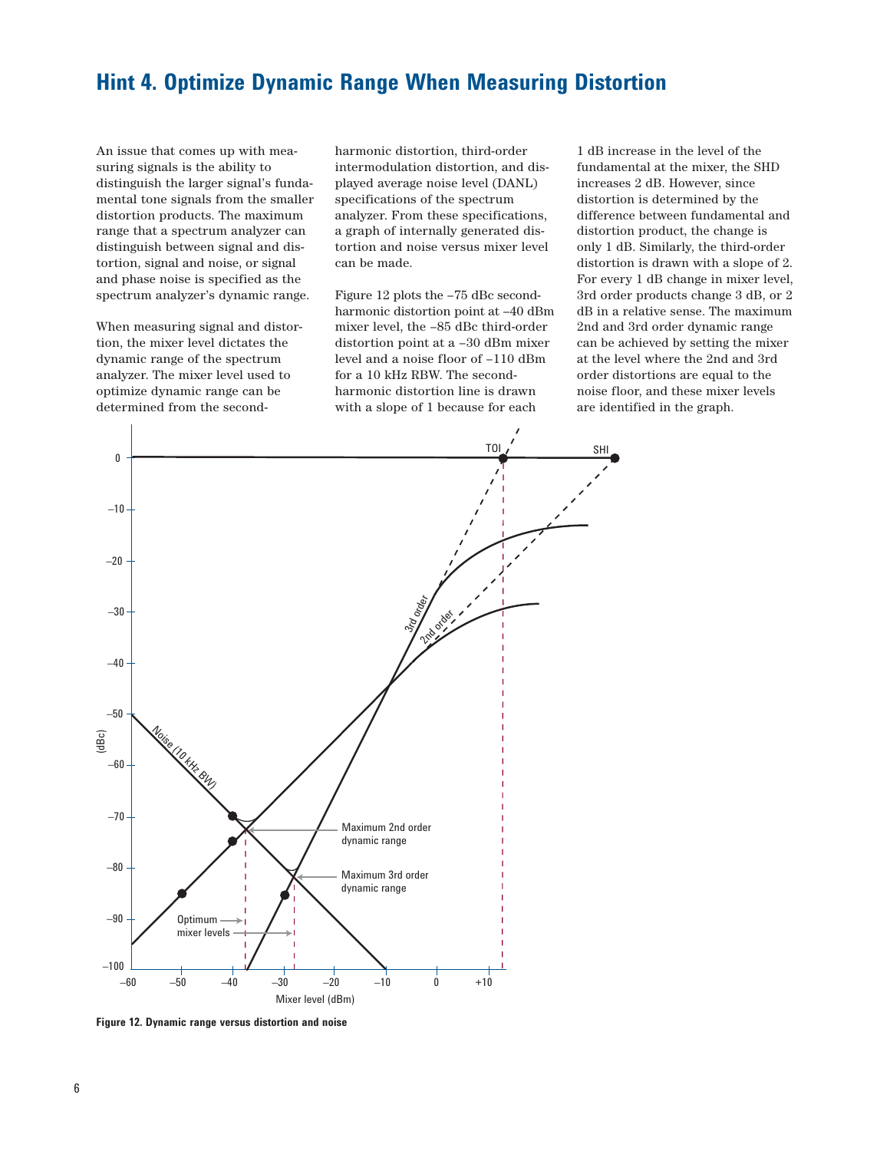### **Hint 4. Optimize Dynamic Range When Measuring Distortion**

An issue that comes up with measuring signals is the ability to distinguish the larger signal's fundamental tone signals from the smaller distortion products. The maximum range that a spectrum analyzer can distinguish between signal and distortion, signal and noise, or signal and phase noise is specified as the spectrum analyzer's dynamic range.

When measuring signal and distortion, the mixer level dictates the dynamic range of the spectrum analyzer. The mixer level used to optimize dynamic range can be determined from the secondharmonic distortion, third-order intermodulation distortion, and displayed average noise level (DANL) specifications of the spectrum analyzer. From these specifications, a graph of internally generated distortion and noise versus mixer level can be made.

Figure 12 plots the –75 dBc secondharmonic distortion point at –40 dBm mixer level, the –85 dBc third-order distortion point at a –30 dBm mixer level and a noise floor of –110 dBm for a 10 kHz RBW. The secondharmonic distortion line is drawn with a slope of 1 because for each

1 dB increase in the level of the fundamental at the mixer, the SHD increases 2 dB. However, since distortion is determined by the difference between fundamental and distortion product, the change is only 1 dB. Similarly, the third-order distortion is drawn with a slope of 2. For every 1 dB change in mixer level, 3rd order products change 3 dB, or 2 dB in a relative sense. The maximum 2nd and 3rd order dynamic range can be achieved by setting the mixer at the level where the 2nd and 3rd order distortions are equal to the noise floor, and these mixer levels are identified in the graph.



**Figure 12. Dynamic range versus distortion and noise**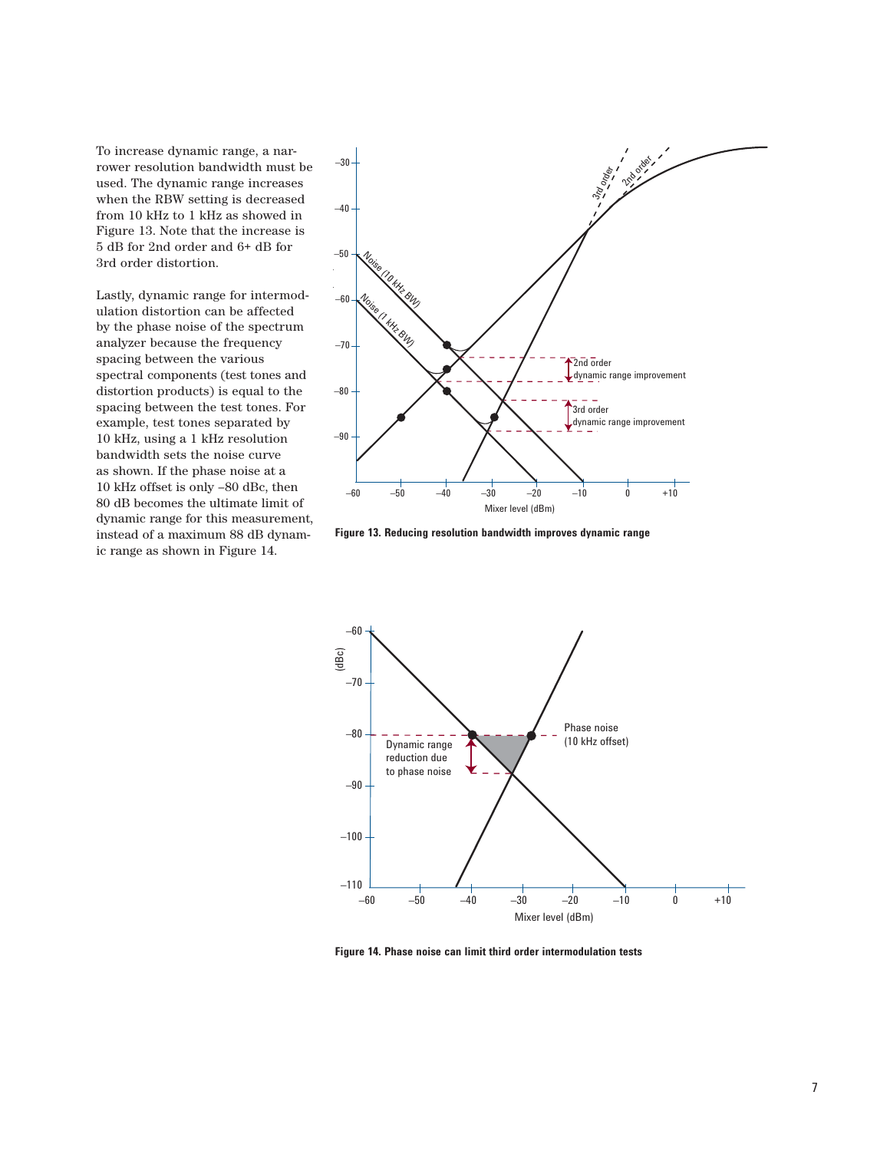To increase dynamic range, a narrower resolution bandwidth must be used. The dynamic range increases when the RBW setting is decreased from 10 kHz to 1 kHz as showed in Figure 13. Note that the increase is 5 dB for 2nd order and 6+ dB for 3rd order distortion.

Lastly, dynamic range for intermodulation distortion can be affected by the phase noise of the spectrum analyzer because the frequency spacing between the various spectral components (test tones and distortion products) is equal to the spacing between the test tones. For example, test tones separated by 10 kHz, using a 1 kHz resolution bandwidth sets the noise curve as shown. If the phase noise at a 10 kHz offset is only –80 dBc, then 80 dB becomes the ultimate limit of dynamic range for this measurement, instead of a maximum 88 dB dynamic range as shown in Figure 14.



**Figure 13. Reducing resolution bandwidth improves dynamic range**



**Figure 14. Phase noise can limit third order intermodulation tests**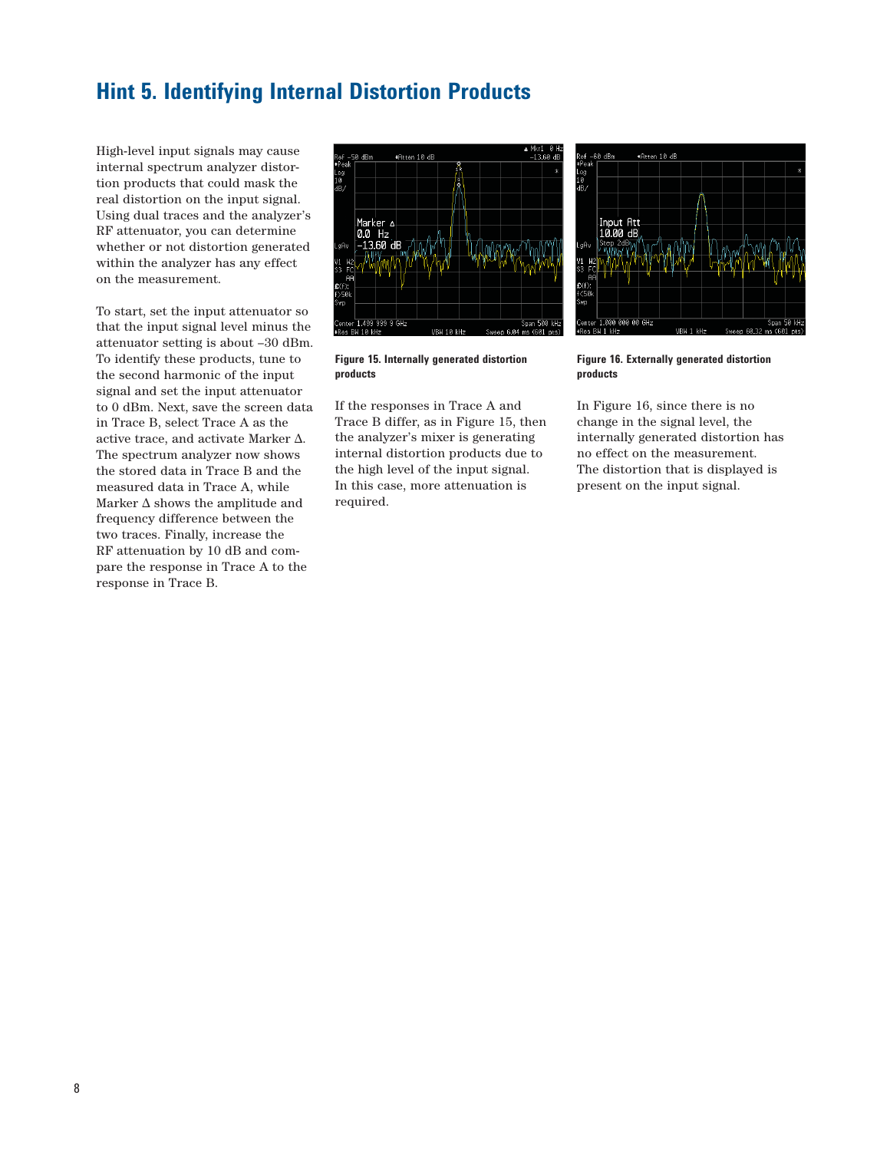### **Hint 5. Identifying Internal Distortion Products**

High-level input signals may cause internal spectrum analyzer distortion products that could mask the real distortion on the input signal. Using dual traces and the analyzer's RF attenuator, you can determine whether or not distortion generated within the analyzer has any effect on the measurement.

To start, set the input attenuator so that the input signal level minus the attenuator setting is about –30 dBm. To identify these products, tune to the second harmonic of the input signal and set the input attenuator to 0 dBm. Next, save the screen data in Trace B, select Trace A as the active trace, and activate Marker  $\Delta.$ The spectrum analyzer now shows the stored data in Trace B and the measured data in Trace A, while Marker ∆ shows the amplitude and frequency difference between the two traces. Finally, increase the RF attenuation by 10 dB and compare the response in Trace A to the response in Trace B.





If the responses in Trace A and Trace B differ, as in Figure 15, then the analyzer's mixer is generating internal distortion products due to the high level of the input signal. In this case, more attenuation is required.



**Figure 16. Externally generated distortion products**

In Figure 16, since there is no change in the signal level, the internally generated distortion has no effect on the measurement. The distortion that is displayed is present on the input signal.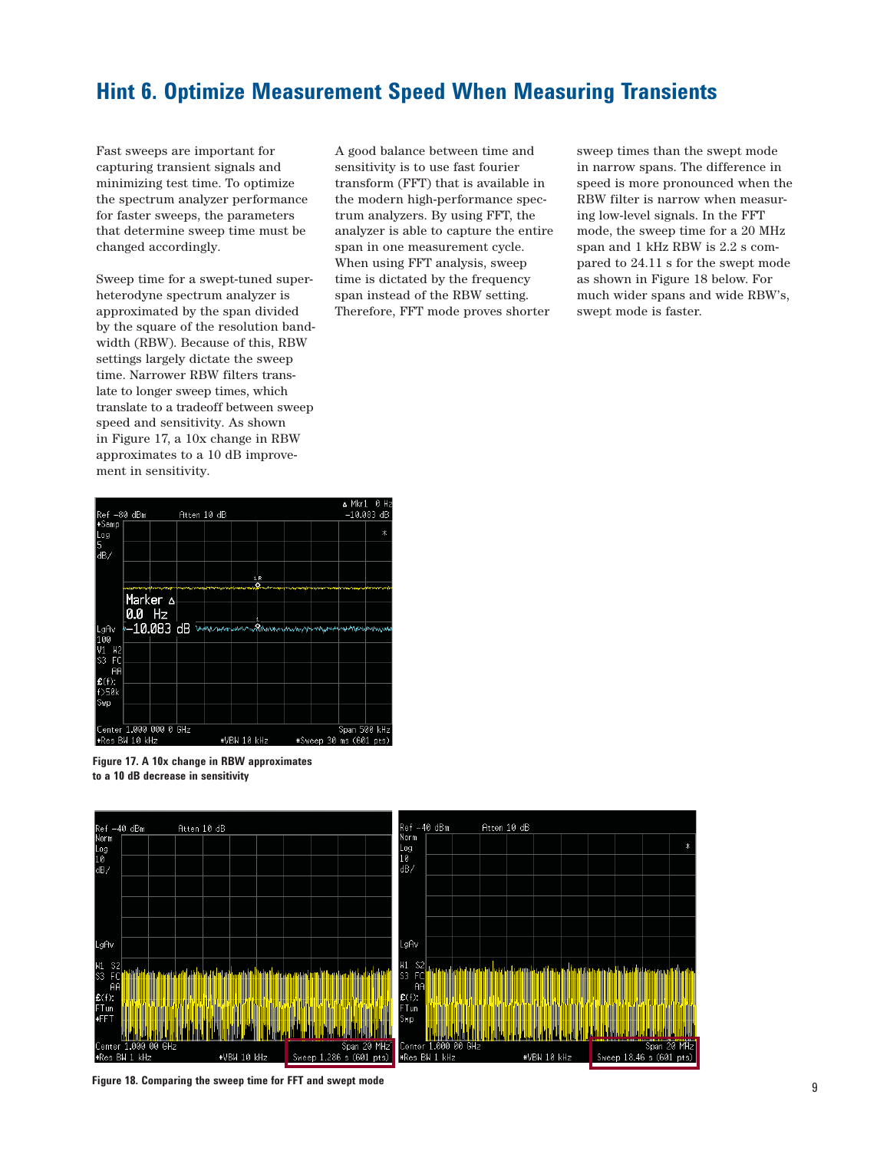# **Hint 6. Optimize Measurement Speed When Measuring Transients**

Fast sweeps are important for capturing transient signals and minimizing test time. To optimize the spectrum analyzer performance for faster sweeps, the parameters that determine sweep time must be changed accordingly.

Sweep time for a swept-tuned superheterodyne spectrum analyzer is approximated by the span divided by the square of the resolution bandwidth (RBW). Because of this, RBW settings largely dictate the sweep time. Narrower RBW filters translate to longer sweep times, which translate to a tradeoff between sweep speed and sensitivity. As shown in Figure 17, a 10x change in RBW approximates to a 10 dB improvement in sensitivity.

A good balance between time and sensitivity is to use fast fourier transform (FFT) that is available in the modern high-performance spectrum analyzers. By using FFT, the analyzer is able to capture the entire span in one measurement cycle. When using FFT analysis, sweep time is dictated by the frequency span instead of the RBW setting. Therefore, FFT mode proves shorter

sweep times than the swept mode in narrow spans. The difference in speed is more pronounced when the RBW filter is narrow when measuring low-level signals. In the FFT mode, the sweep time for a 20 MHz span and 1 kHz RBW is 2.2 s compared to 24.11 s for the swept mode as shown in Figure 18 below. For much wider spans and wide RBW's, swept mode is faster.



**Figure 17. A 10x change in RBW approximates to a 10 dB decrease in sensitivity**



**Figure 18. Comparing the sweep time for FFT and swept mode**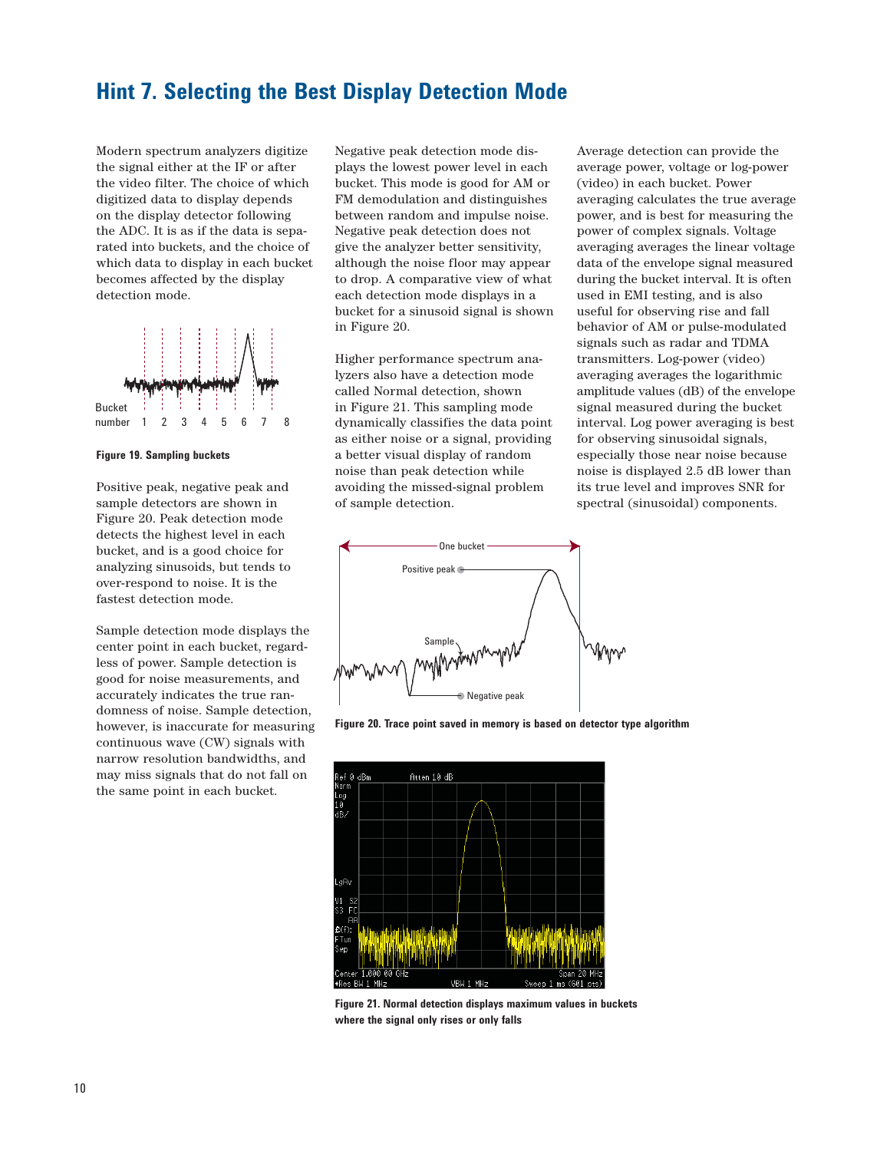#### **Hint 7. Selecting the Best Display Detection Mode**

Modern spectrum analyzers digitize the signal either at the IF or after the video filter. The choice of which digitized data to display depends on the display detector following the ADC. It is as if the data is separated into buckets, and the choice of which data to display in each bucket becomes affected by the display detection mode.



**Figure 19. Sampling buckets**

Positive peak, negative peak and sample detectors are shown in Figure 20. Peak detection mode detects the highest level in each bucket, and is a good choice for analyzing sinusoids, but tends to over-respond to noise. It is the fastest detection mode.

Sample detection mode displays the center point in each bucket, regardless of power. Sample detection is good for noise measurements, and accurately indicates the true randomness of noise. Sample detection, however, is inaccurate for measuring continuous wave (CW) signals with narrow resolution bandwidths, and may miss signals that do not fall on the same point in each bucket.

Negative peak detection mode displays the lowest power level in each bucket. This mode is good for AM or FM demodulation and distinguishes between random and impulse noise. Negative peak detection does not give the analyzer better sensitivity, although the noise floor may appear to drop. A comparative view of what each detection mode displays in a bucket for a sinusoid signal is shown in Figure 20.

Higher performance spectrum analyzers also have a detection mode called Normal detection, shown in Figure 21. This sampling mode dynamically classifies the data point as either noise or a signal, providing a better visual display of random noise than peak detection while avoiding the missed-signal problem of sample detection.

Average detection can provide the average power, voltage or log-power (video) in each bucket. Power averaging calculates the true average power, and is best for measuring the power of complex signals. Voltage averaging averages the linear voltage data of the envelope signal measured during the bucket interval. It is often used in EMI testing, and is also useful for observing rise and fall behavior of AM or pulse-modulated signals such as radar and TDMA transmitters. Log-power (video) averaging averages the logarithmic amplitude values (dB) of the envelope signal measured during the bucket interval. Log power averaging is best for observing sinusoidal signals, especially those near noise because noise is displayed 2.5 dB lower than its true level and improves SNR for spectral (sinusoidal) components.



**Figure 20. Trace point saved in memory is based on detector type algorithm**



**Figure 21. Normal detection displays maximum values in buckets where the signal only rises or only falls**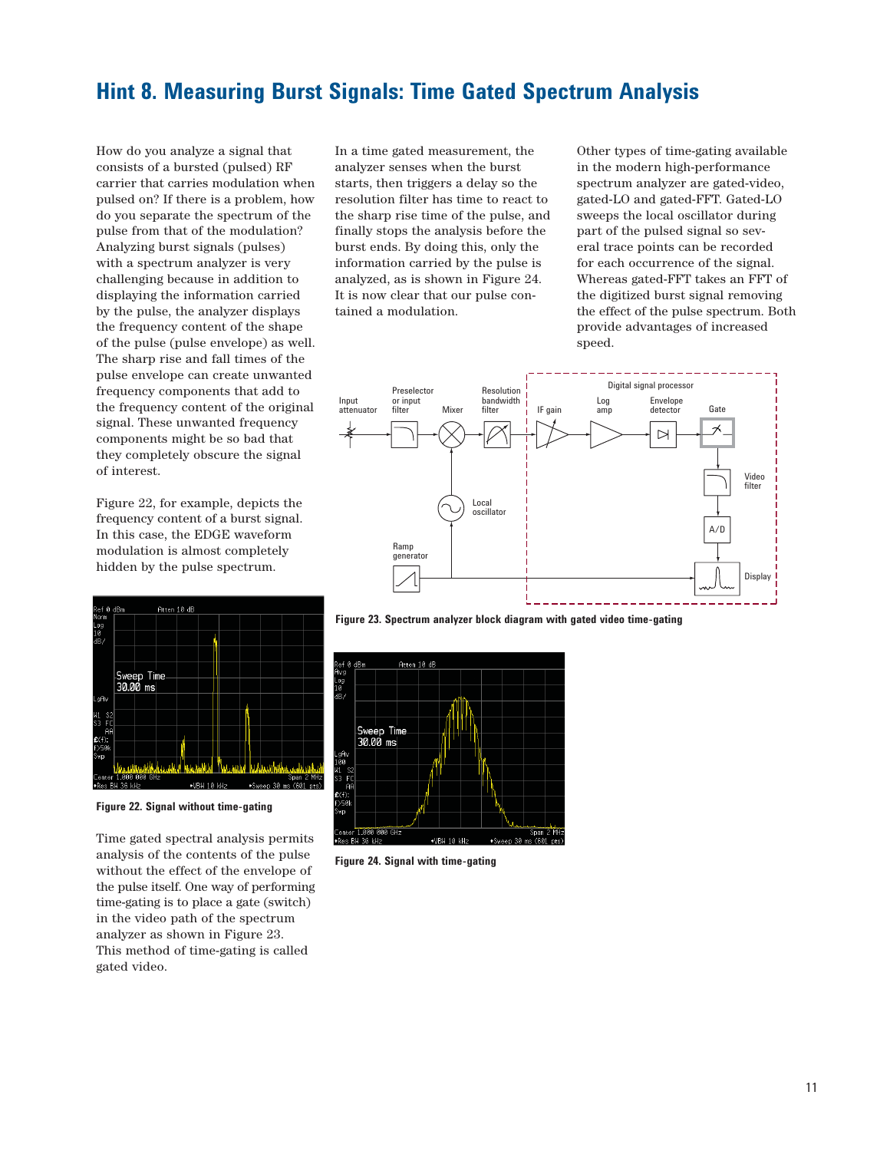### **Hint 8. Measuring Burst Signals: Time Gated Spectrum Analysis**

How do you analyze a signal that consists of a bursted (pulsed) RF carrier that carries modulation when pulsed on? If there is a problem, how do you separate the spectrum of the pulse from that of the modulation? Analyzing burst signals (pulses) with a spectrum analyzer is very challenging because in addition to displaying the information carried by the pulse, the analyzer displays the frequency content of the shape of the pulse (pulse envelope) as well. The sharp rise and fall times of the pulse envelope can create unwanted frequency components that add to the frequency content of the original signal. These unwanted frequency components might be so bad that they completely obscure the signal of interest.

Figure 22, for example, depicts the frequency content of a burst signal. In this case, the EDGE waveform modulation is almost completely hidden by the pulse spectrum.



**Figure 22. Signal without time-gating**

Time gated spectral analysis permits analysis of the contents of the pulse without the effect of the envelope of the pulse itself. One way of performing time-gating is to place a gate (switch) in the video path of the spectrum analyzer as shown in Figure 23. This method of time-gating is called gated video.

In a time gated measurement, the analyzer senses when the burst starts, then triggers a delay so the resolution filter has time to react to the sharp rise time of the pulse, and finally stops the analysis before the burst ends. By doing this, only the information carried by the pulse is analyzed, as is shown in Figure 24. It is now clear that our pulse contained a modulation.

Other types of time-gating available in the modern high-performance spectrum analyzer are gated-video, gated-LO and gated-FFT. Gated-LO sweeps the local oscillator during part of the pulsed signal so several trace points can be recorded for each occurrence of the signal. Whereas gated-FFT takes an FFT of the digitized burst signal removing the effect of the pulse spectrum. Both provide advantages of increased speed.



**Figure 23. Spectrum analyzer block diagram with gated video time-gating** 



**Figure 24. Signal with time-gating**